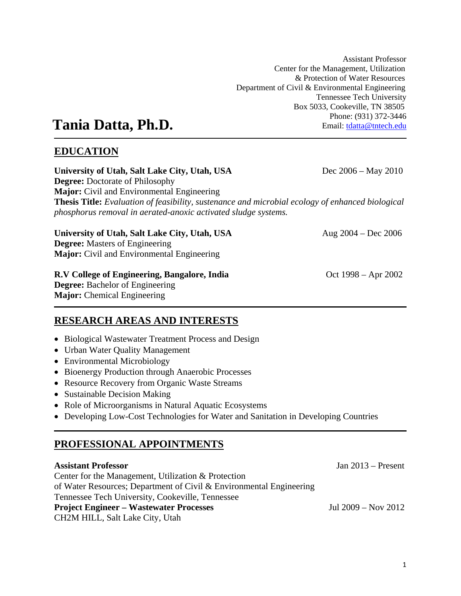Assistant Professor Center for the Management, Utilization & Protection of Water Resources Department of Civil & Environmental Engineering Tennessee Tech University Box 5033, Cookeville, TN 38505 Phone: (931) 372-3446 Email: tdatta@tntech.edu

# **Tania Datta, Ph.D.**

# **EDUCATION**

**University of Utah, Salt Lake City, Utah, USA** Dec 2006 – May 2010 **Degree:** Doctorate of Philosophy **Major:** Civil and Environmental Engineering **Thesis Title:** *Evaluation of feasibility, sustenance and microbial ecology of enhanced biological phosphorus removal in aerated-anoxic activated sludge systems.* 

**University of Utah, Salt Lake City, Utah, USA** Aug 2004 – Dec 2006 **Degree:** Masters of Engineering **Major:** Civil and Environmental Engineering

# **R.V College of Engineering, Bangalore, India**  $\qquad \qquad$  Oct 1998 – Apr 2002

**Degree:** Bachelor of Engineering **Major:** Chemical Engineering

# **RESEARCH AREAS AND INTERESTS**

- Biological Wastewater Treatment Process and Design
- Urban Water Quality Management
- Environmental Microbiology
- Bioenergy Production through Anaerobic Processes
- Resource Recovery from Organic Waste Streams
- Sustainable Decision Making
- Role of Microorganisms in Natural Aquatic Ecosystems
- Developing Low-Cost Technologies for Water and Sanitation in Developing Countries

# **PROFESSIONAL APPOINTMENTS**

### **Assistant Professor** Jan 2013 – Present

Center for the Management, Utilization & Protection of Water Resources; Department of Civil & Environmental Engineering Tennessee Tech University, Cookeville, Tennessee **Project Engineer – Wastewater Processes** Jul 2009 – Nov 2012 CH2M HILL, Salt Lake City, Utah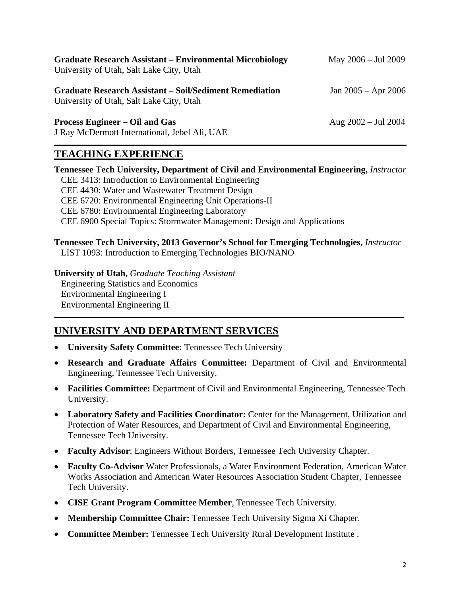| <b>Graduate Research Assistant - Environmental Microbiology</b><br>University of Utah, Salt Lake City, Utah | May 2006 - Jul 2009     |
|-------------------------------------------------------------------------------------------------------------|-------------------------|
| <b>Graduate Research Assistant – Soil/Sediment Remediation</b><br>University of Utah, Salt Lake City, Utah  | Jan $2005 -$ Apr $2006$ |
| <b>Process Engineer – Oil and Gas</b><br>J Ray McDermott International, Jebel Ali, UAE                      | Aug $2002 -$ Jul 2004   |

### **TEACHING EXPERIENCE**

**Tennessee Tech University, Department of Civil and Environmental Engineering,** *Instructor*  CEE 3413: Introduction to Environmental Engineering CEE 4430: Water and Wastewater Treatment Design CEE 6720: Environmental Engineering Unit Operations-II CEE 6780: Environmental Engineering Laboratory CEE 6900 Special Topics: Stormwater Management: Design and Applications

**Tennessee Tech University, 2013 Governor's School for Emerging Technologies,** *Instructor*  LIST 1093: Introduction to Emerging Technologies BIO/NANO

**University of Utah,** *Graduate Teaching Assistant*  Engineering Statistics and Economics Environmental Engineering I Environmental Engineering II

# **UNIVERSITY AND DEPARTMENT SERVICES**

- **University Safety Committee:** Tennessee Tech University
- **Research and Graduate Affairs Committee:** Department of Civil and Environmental Engineering, Tennessee Tech University.
- **Facilities Committee:** Department of Civil and Environmental Engineering, Tennessee Tech University.
- **Laboratory Safety and Facilities Coordinator:** Center for the Management, Utilization and Protection of Water Resources, and Department of Civil and Environmental Engineering, Tennessee Tech University.
- **Faculty Advisor**: Engineers Without Borders, Tennessee Tech University Chapter.
- **Faculty Co-Advisor** Water Professionals, a Water Environment Federation, American Water Works Association and American Water Resources Association Student Chapter, Tennessee Tech University.
- **CISE Grant Program Committee Member**, Tennessee Tech University.
- **Membership Committee Chair:** Tennessee Tech University Sigma Xi Chapter.
- **Committee Member:** Tennessee Tech University Rural Development Institute .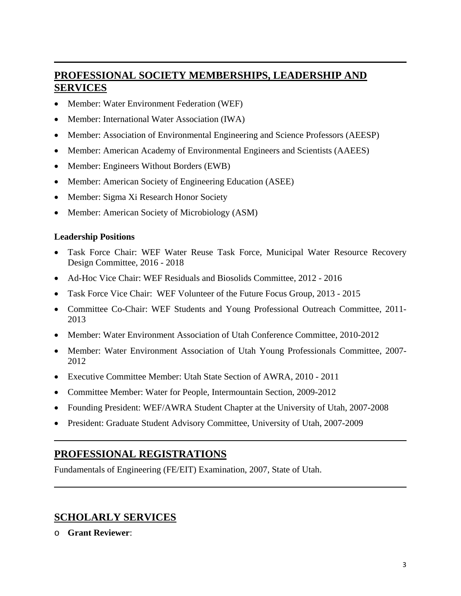# **PROFESSIONAL SOCIETY MEMBERSHIPS, LEADERSHIP AND SERVICES**

- Member: Water Environment Federation (WEF)
- Member: International Water Association (IWA)
- Member: Association of Environmental Engineering and Science Professors (AEESP)
- Member: American Academy of Environmental Engineers and Scientists (AAEES)
- Member: Engineers Without Borders (EWB)
- Member: American Society of Engineering Education (ASEE)
- Member: Sigma Xi Research Honor Society
- Member: American Society of Microbiology (ASM)

#### **Leadership Positions**

- Task Force Chair: WEF Water Reuse Task Force, Municipal Water Resource Recovery Design Committee, 2016 - 2018
- Ad-Hoc Vice Chair: WEF Residuals and Biosolids Committee, 2012 2016
- Task Force Vice Chair: WEF Volunteer of the Future Focus Group, 2013 2015
- Committee Co-Chair: WEF Students and Young Professional Outreach Committee, 2011- 2013
- Member: Water Environment Association of Utah Conference Committee, 2010-2012
- Member: Water Environment Association of Utah Young Professionals Committee, 2007- 2012
- Executive Committee Member: Utah State Section of AWRA, 2010 2011
- Committee Member: Water for People, Intermountain Section, 2009-2012
- Founding President: WEF/AWRA Student Chapter at the University of Utah, 2007-2008
- President: Graduate Student Advisory Committee, University of Utah, 2007-2009

### **PROFESSIONAL REGISTRATIONS**

Fundamentals of Engineering (FE/EIT) Examination, 2007, State of Utah.

### **SCHOLARLY SERVICES**

o **Grant Reviewer**: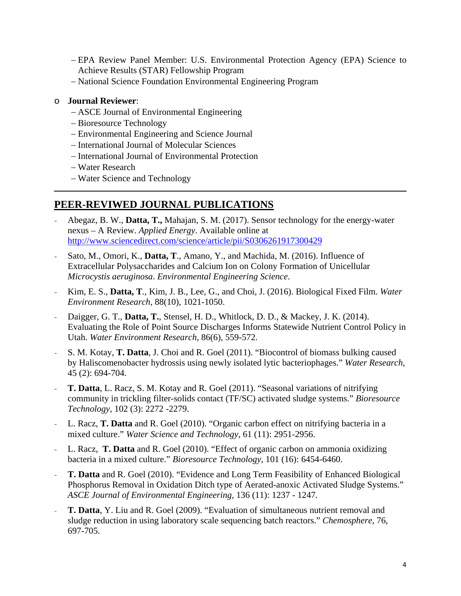- EPA Review Panel Member: U.S. Environmental Protection Agency (EPA) Science to Achieve Results (STAR) Fellowship Program
- National Science Foundation Environmental Engineering Program

#### o **Journal Reviewer**:

- ASCE Journal of Environmental Engineering
- Bioresource Technology
- Environmental Engineering and Science Journal
- International Journal of Molecular Sciences
- International Journal of Environmental Protection
- Water Research
- Water Science and Technology

### **PEER-REVIWED JOURNAL PUBLICATIONS**

- Abegaz, B. W., **Datta, T.,** Mahajan, S. M. (2017). Sensor technology for the energy-water nexus – A Review. *Applied Energy*. Available online at http://www.sciencedirect.com/science/article/pii/S0306261917300429
- Sato, M., Omori, K., **Datta, T**., Amano, Y., and Machida, M. (2016). Influence of Extracellular Polysaccharides and Calcium Ion on Colony Formation of Unicellular *Microcystis aeruginosa*. *Environmental Engineering Science*.
- Kim, E. S., **Datta, T**., Kim, J. B., Lee, G., and Choi, J. (2016). Biological Fixed Film. *Water Environment Research*, 88(10), 1021-1050.
- Daigger, G. T., **Datta, T.**, Stensel, H. D., Whitlock, D. D., & Mackey, J. K. (2014). Evaluating the Role of Point Source Discharges Informs Statewide Nutrient Control Policy in Utah. *Water Environment Research*, 86(6), 559-572.
- S. M. Kotay, **T. Datta**, J. Choi and R. Goel (2011). "Biocontrol of biomass bulking caused by Haliscomenobacter hydrossis using newly isolated lytic bacteriophages." *Water Research*, 45 (2): 694-704.
- **T. Datta**, L. Racz, S. M. Kotay and R. Goel (2011). "Seasonal variations of nitrifying community in trickling filter-solids contact (TF/SC) activated sludge systems." *Bioresource Technology*, 102 (3): 2272 -2279.
- L. Racz, **T. Datta** and R. Goel (2010). "Organic carbon effect on nitrifying bacteria in a mixed culture." *Water Science and Technology*, 61 (11): 2951-2956.
- L. Racz, **T. Datta** and R. Goel (2010). "Effect of organic carbon on ammonia oxidizing bacteria in a mixed culture." *Bioresource Technology*, 101 (16): 6454-6460.
- **T. Datta** and R. Goel (2010). "Evidence and Long Term Feasibility of Enhanced Biological Phosphorus Removal in Oxidation Ditch type of Aerated-anoxic Activated Sludge Systems." *ASCE Journal of Environmental Engineering,* 136 (11): 1237 - 1247*.*
- **T. Datta**, Y. Liu and R. Goel (2009). "Evaluation of simultaneous nutrient removal and sludge reduction in using laboratory scale sequencing batch reactors." *Chemosphere*, 76, 697-705.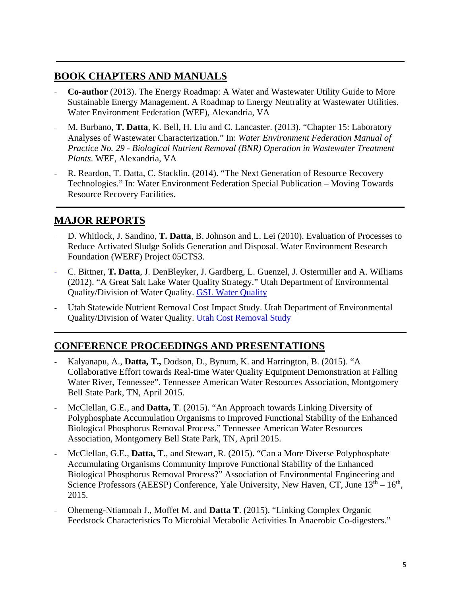# **BOOK CHAPTERS AND MANUALS**

- **Co-author** (2013). The Energy Roadmap: A Water and Wastewater Utility Guide to More Sustainable Energy Management. A Roadmap to Energy Neutrality at Wastewater Utilities. Water Environment Federation (WEF), Alexandria, VA
- M. Burbano, **T. Datta**, K. Bell, H. Liu and C. Lancaster. (2013). "Chapter 15: Laboratory Analyses of Wastewater Characterization." In: *Water Environment Federation Manual of Practice No. 29 - Biological Nutrient Removal (BNR) Operation in Wastewater Treatment Plants*. WEF, Alexandria, VA
- R. Reardon, T. Datta, C. Stacklin. (2014). "The Next Generation of Resource Recovery Technologies." In: Water Environment Federation Special Publication – Moving Towards Resource Recovery Facilities.

# **MAJOR REPORTS**

- D. Whitlock, J. Sandino, **T. Datta**, B. Johnson and L. Lei (2010). Evaluation of Processes to Reduce Activated Sludge Solids Generation and Disposal. Water Environment Research Foundation (WERF) Project 05CTS3.
- C. Bittner, **T. Datta**, J. DenBleyker, J. Gardberg, L. Guenzel, J. Ostermiller and A. Williams (2012). "A Great Salt Lake Water Quality Strategy." Utah Department of Environmental Quality/Division of Water Quality. GSL Water Quality
- Utah Statewide Nutrient Removal Cost Impact Study. Utah Department of Environmental Quality/Division of Water Quality. Utah Cost Removal Study

# **CONFERENCE PROCEEDINGS AND PRESENTATIONS**

- Kalyanapu, A., **Datta, T.,** Dodson, D., Bynum, K. and Harrington, B. (2015). "A Collaborative Effort towards Real-time Water Quality Equipment Demonstration at Falling Water River, Tennessee". Tennessee American Water Resources Association, Montgomery Bell State Park, TN, April 2015.
- McClellan, G.E., and **Datta, T**. (2015). "An Approach towards Linking Diversity of Polyphosphate Accumulation Organisms to Improved Functional Stability of the Enhanced Biological Phosphorus Removal Process." Tennessee American Water Resources Association, Montgomery Bell State Park, TN, April 2015.
- McClellan, G.E., **Datta, T.**, and Stewart, R. (2015). "Can a More Diverse Polyphosphate Accumulating Organisms Community Improve Functional Stability of the Enhanced Biological Phosphorus Removal Process?" Association of Environmental Engineering and Science Professors (AEESP) Conference, Yale University, New Haven, CT, June  $13<sup>th</sup> - 16<sup>th</sup>$ , 2015.
- Ohemeng-Ntiamoah J., Moffet M. and **Datta T**. (2015). "Linking Complex Organic Feedstock Characteristics To Microbial Metabolic Activities In Anaerobic Co-digesters."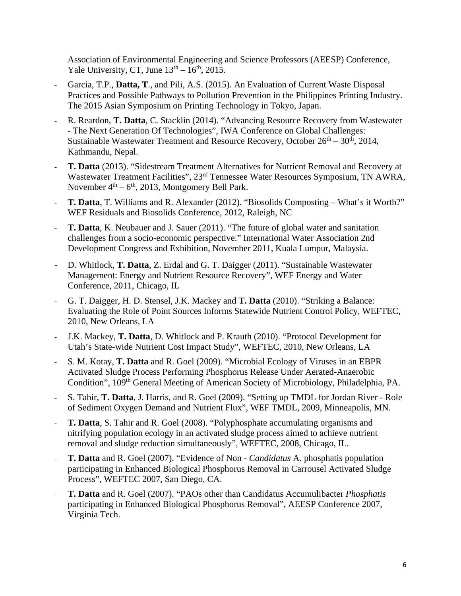Association of Environmental Engineering and Science Professors (AEESP) Conference, Yale University, CT, June  $13<sup>th</sup> - 16<sup>th</sup>$ , 2015.

- Garcia, T.P., **Datta, T**., and Pili, A.S. (2015). An Evaluation of Current Waste Disposal Practices and Possible Pathways to Pollution Prevention in the Philippines Printing Industry. The 2015 Asian Symposium on Printing Technology in Tokyo, Japan.
- R. Reardon, **T. Datta**, C. Stacklin (2014). "Advancing Resource Recovery from Wastewater - The Next Generation Of Technologies", IWA Conference on Global Challenges: Sustainable Wastewater Treatment and Resource Recovery, October  $26<sup>th</sup> - 30<sup>th</sup>$ , 2014, Kathmandu, Nepal.
- **T. Datta** (2013). "Sidestream Treatment Alternatives for Nutrient Removal and Recovery at Wastewater Treatment Facilities", 23rd Tennessee Water Resources Symposium, TN AWRA, November  $4<sup>th</sup> - 6<sup>th</sup>$ , 2013, Montgomery Bell Park.
- **T. Datta**, T. Williams and R. Alexander (2012). "Biosolids Composting What's it Worth?" WEF Residuals and Biosolids Conference, 2012, Raleigh, NC
- **T. Datta, K.** Neubauer and J. Sauer (2011). "The future of global water and sanitation challenges from a socio-economic perspective." International Water Association 2nd Development Congress and Exhibition, November 2011, Kuala Lumpur, Malaysia.
- D. Whitlock, **T. Datta**, Z. Erdal and G. T. Daigger (2011). "Sustainable Wastewater Management: Energy and Nutrient Resource Recovery", WEF Energy and Water Conference, 2011, Chicago, IL
- G. T. Daigger, H. D. Stensel, J.K. Mackey and **T. Datta** (2010). "Striking a Balance: Evaluating the Role of Point Sources Informs Statewide Nutrient Control Policy, WEFTEC, 2010, New Orleans, LA
- J.K. Mackey, **T. Datta**, D. Whitlock and P. Krauth (2010). "Protocol Development for Utah's State-wide Nutrient Cost Impact Study", WEFTEC, 2010, New Orleans, LA
- S. M. Kotay, **T. Datta** and R. Goel (2009). "Microbial Ecology of Viruses in an EBPR Activated Sludge Process Performing Phosphorus Release Under Aerated-Anaerobic Condition", 109th General Meeting of American Society of Microbiology, Philadelphia, PA.
- S. Tahir, **T. Datta**, J. Harris, and R. Goel (2009). "Setting up TMDL for Jordan River Role of Sediment Oxygen Demand and Nutrient Flux", WEF TMDL, 2009, Minneapolis, MN.
- **T. Datta**, S. Tahir and R. Goel (2008). "Polyphosphate accumulating organisms and nitrifying population ecology in an activated sludge process aimed to achieve nutrient removal and sludge reduction simultaneously", WEFTEC, 2008, Chicago, IL.
- **T. Datta** and R. Goel (2007). "Evidence of Non *Candidatus* A. phosphatis population participating in Enhanced Biological Phosphorus Removal in Carrousel Activated Sludge Process", WEFTEC 2007, San Diego, CA.
- **T. Datta** and R. Goel (2007). "PAOs other than Candidatus Accumulibacter *Phosphatis* participating in Enhanced Biological Phosphorus Removal", AEESP Conference 2007, Virginia Tech.